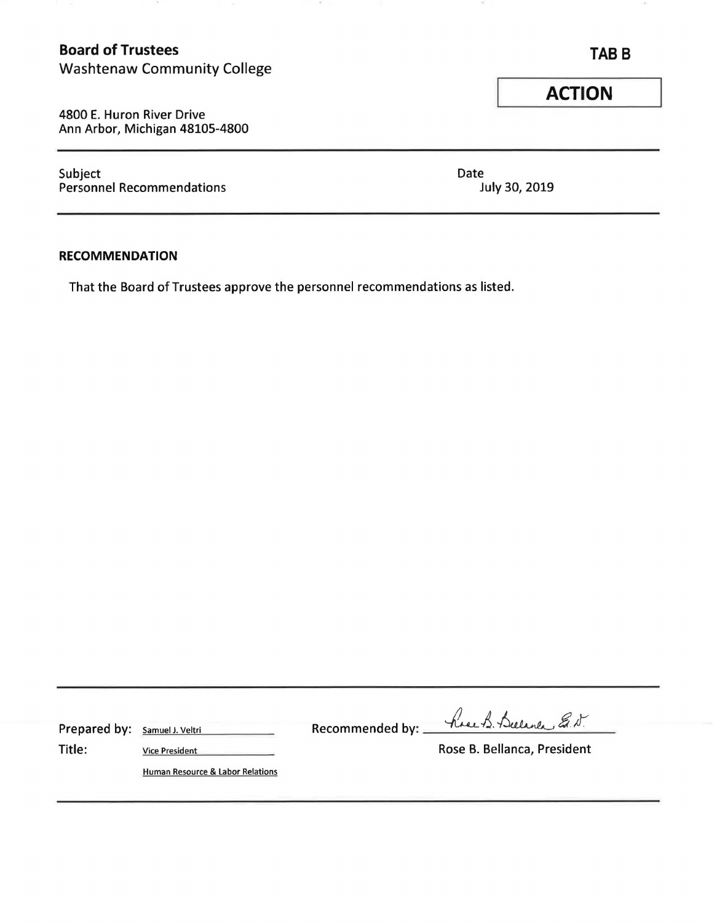# **Board of Trustees TABB**

Washtenaw Community College

4800 E. Huron River Drive Ann Arbor, Michigan 48105-4800

Subject Date Personnel Recommendations and the United States of the United States of the United States and July 30, 2019

## **RECOMMENDATION**

That the Board of Trustees approve the personnel recommendations as listed.

OF.

| Prepared by: Samuel J. Veltri |                                  | Recommended by: hove B. Bulance E.N. |
|-------------------------------|----------------------------------|--------------------------------------|
| Title:                        | <b>Vice President</b>            | Rose B. Bellanca, President          |
|                               | Human Resource & Labor Relations |                                      |

**ACTION**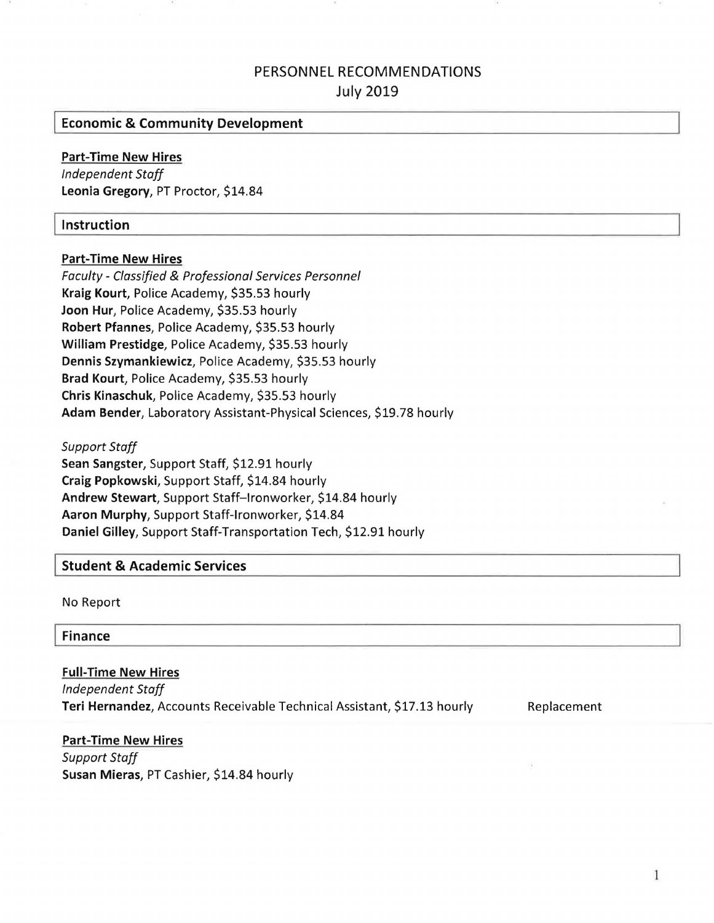# PERSONNEL RECOMMENDATIONS July 2019

### I**Economic** & **Community Development**

#### **Part-Time New Hires**

*Independent Staff*  **Leonia Gregory,** PT Proctor, \$14.84

#### I**instruction**

#### **Part-Time New Hires**

*Faculty* - *Classified*& *Professional Services Personnel*  **Kraig Kourt,** Police Academy, \$35.53 hourly **Joon Hur,** Police Academy, \$35.53 hourly **Robert Pfannes,** Police Academy, \$35.53 hourly **William Prestidge,** Police Academy, \$35.53 hourly **Dennis Szymankiewicz,** Police Academy, \$35.53 hourly **Brad Kourt,** Police Academy, \$35.53 hourly **Chris Kinaschuk,** Police Academy, \$35.53 hourly **Adam Bender,** Laboratory Assistant-Physical Sciences, \$19.78 hourly

*Support Staff*  **Sean Sangster,** Support Staff, \$12.91 hourly **Craig Popkowski,** Support Staff, \$14.84 hourly **Andrew Stewart,** Support Staff-Ironworker, \$14.84 hourly **Aaron Murphy,** Support Staff-Ironworker, \$14.84 **Daniel Gilley,** Support Staff-Transportation Tech, \$12.91 hourly

#### I**Student** & **Academic Services**

No Report

I **Finance** 

**Full-Time New Hires**  *Independent Staff*  **Teri Hernandez,** Accounts Receivable Technical Assistant, \$17.13 hourly

Replacement

**Part-Time New Hires**  *Support Staff*  **Susan Mieras,** PT Cashier, \$14.84 hourly

 $\mathbf{1}$